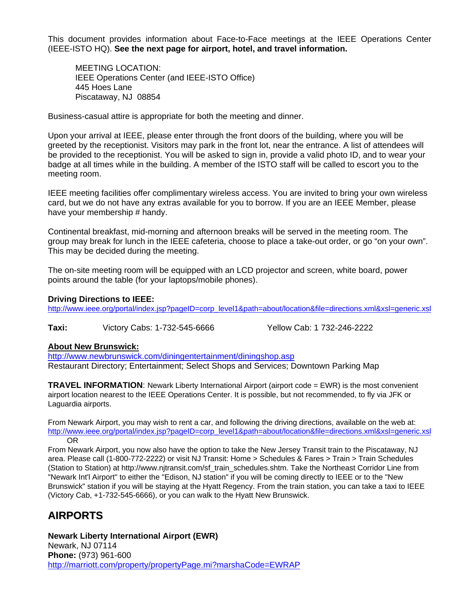This document provides information about Face-to-Face meetings at the IEEE Operations Center (IEEE-ISTO HQ). **See the next page for airport, hotel, and travel information.**

 MEETING LOCATION: IEEE Operations Center (and IEEE-ISTO Office) 445 Hoes Lane Piscataway, NJ 08854

Business-casual attire is appropriate for both the meeting and dinner.

Upon your arrival at IEEE, please enter through the front doors of the building, where you will be greeted by the receptionist. Visitors may park in the front lot, near the entrance. A list of attendees will be provided to the receptionist. You will be asked to sign in, provide a valid photo ID, and to wear your badge at all times while in the building. A member of the ISTO staff will be called to escort you to the meeting room.

IEEE meeting facilities offer complimentary wireless access. You are invited to bring your own wireless card, but we do not have any extras available for you to borrow. If you are an IEEE Member, please have your membership # handy.

Continental breakfast, mid-morning and afternoon breaks will be served in the meeting room. The group may break for lunch in the IEEE cafeteria, choose to place a take-out order, or go "on your own". This may be decided during the meeting.

The on-site meeting room will be equipped with an LCD projector and screen, white board, power points around the table (for your laptops/mobile phones).

## **Driving Directions to IEEE:**

http://www.ieee.org/portal/index.jsp?pageID=corp\_level1&path=about/location&file=directions.xml&xsl=generic.xsl

**Taxi:** Victory Cabs: 1-732-545-6666 Yellow Cab: 1 732-246-2222

## **About New Brunswick:**

<http://www.newbrunswick.com/diningentertainment/diningshop.asp> Restaurant Directory; Entertainment; Select Shops and Services; Downtown Parking Map

**TRAVEL INFORMATION**: Newark Liberty International Airport (airport code = EWR) is the most convenient airport location nearest to the IEEE Operations Center. It is possible, but not recommended, to fly via JFK or Laguardia airports.

From Newark Airport, you may wish to rent a car, and following the driving directions, available on the web at: http://www.ieee.org/portal/index.jsp?pageID=corp\_level1&path=about/location&file=directions.xml&xsl=generic.xsl OR

From Newark Airport, you now also have the option to take the New Jersey Transit train to the Piscataway, NJ area. Please call (1-800-772-2222) or visit NJ Transit: Home > Schedules & Fares > Train > Train Schedules (Station to Station) at http://www.njtransit.com/sf\_train\_schedules.shtm. Take the Northeast Corridor Line from "Newark Int'l Airport" to either the "Edison, NJ station" if you will be coming directly to IEEE or to the "New Brunswick" station if you will be staying at the Hyatt Regency. From the train station, you can take a taxi to IEEE (Victory Cab, +1-732-545-6666), or you can walk to the Hyatt New Brunswick.

## **AIRPORTS**

**Newark Liberty International Airport (EWR)** Newark, NJ 07114 **Phone:** (973) 961-600 <http://marriott.com/property/propertyPage.mi?marshaCode=EWRAP>